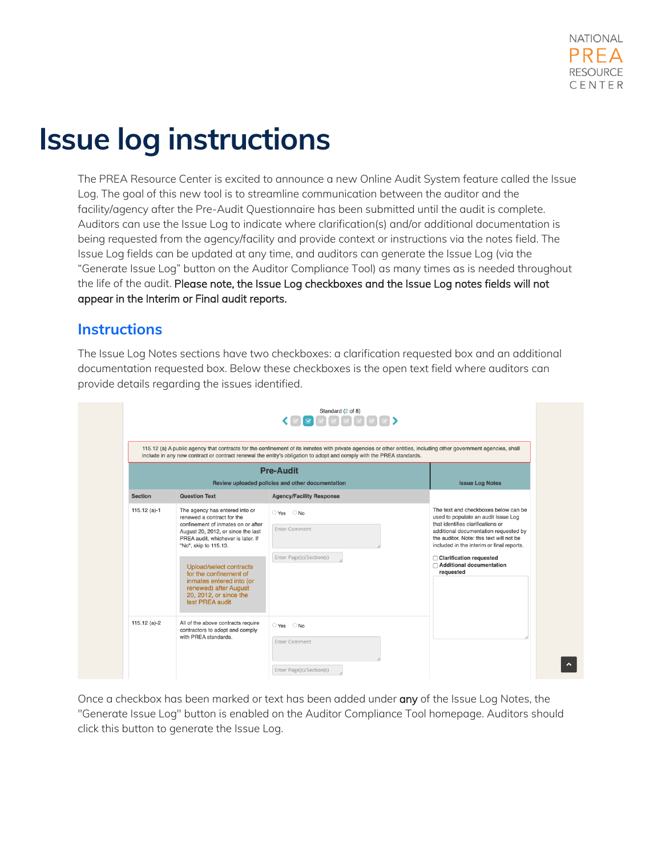## **Issue log instructions**

The PREA Resource Center is excited to announce a new Online Audit System feature called the Issue Log. The goal of this new tool is to streamline communication between the auditor and the facility/agency after the Pre-Audit Questionnaire has been submitted until the audit is complete. Auditors can use the Issue Log to indicate where clarification(s) and/or additional documentation is being requested from the agency/facility and provide context or instructions via the notes field. The Issue Log fields can be updated at any time, and auditors can generate the Issue Log (via the "Generate Issue Log" button on the Auditor Compliance Tool) as many times as is needed throughout the life of the audit. Please note, the Issue Log checkboxes and the Issue Log notes fields will not appear in the Interim or Final audit reports.

## **Instructions**

The Issue Log Notes sections have two checkboxes: a clarification requested box and an additional documentation requested box. Below these checkboxes is the open text field where auditors can provide details regarding the issues identified.

|                | Standard (2 of 8)<br>$\begin{picture}(130,10) \put(0,0){\line(1,0){10}} \put(15,0){\line(1,0){10}} \put(15,0){\line(1,0){10}} \put(15,0){\line(1,0){10}} \put(15,0){\line(1,0){10}} \put(15,0){\line(1,0){10}} \put(15,0){\line(1,0){10}} \put(15,0){\line(1,0){10}} \put(15,0){\line(1,0){10}} \put(15,0){\line(1,0){10}} \put(15,0){\line(1,0){10}} \put(15,0){\line($<br>115.12 (a) A public agency that contracts for the confinement of its inmates with private agencies or other entities, including other government agencies, shall<br>include in any new contract or contract renewal the entity's obligation to adopt and comply with the PREA standards.<br><b>Pre-Audit</b> |                                                                            |                                                                                                                                                                                                                                                                                                                            |  |  |
|----------------|------------------------------------------------------------------------------------------------------------------------------------------------------------------------------------------------------------------------------------------------------------------------------------------------------------------------------------------------------------------------------------------------------------------------------------------------------------------------------------------------------------------------------------------------------------------------------------------------------------------------------------------------------------------------------------------|----------------------------------------------------------------------------|----------------------------------------------------------------------------------------------------------------------------------------------------------------------------------------------------------------------------------------------------------------------------------------------------------------------------|--|--|
| <b>Section</b> | Review uploaded policies and other documentation<br><b>Question Text</b><br><b>Agency/Facility Response</b>                                                                                                                                                                                                                                                                                                                                                                                                                                                                                                                                                                              |                                                                            | <b>Issue Log Notes</b>                                                                                                                                                                                                                                                                                                     |  |  |
| $115.12$ (a)-1 | The agency has entered into or<br>renewed a contract for the<br>confinement of inmates on or after<br>August 20, 2012, or since the last<br>PREA audit, whichever is later. If<br>"No", skip to 115.13.<br><b>Upload/select contracts</b><br>for the confinement of<br>inmates entered into (or<br>renewed) after August<br>20, 2012, or since the<br>last PREA audit                                                                                                                                                                                                                                                                                                                    | $\circ$ Yes $\circ$ No<br><b>Enter Comment</b><br>Enter Page(s)/Section(s) | The text and checkboxes below can be<br>used to populate an audit Issue Log<br>that identifies clarifications or<br>additional documentation requested by<br>the auditor. Note: this text will not be<br>included in the interim or final reports.<br>□ Clarification requested<br>□ Additional documentation<br>requested |  |  |
| $115.12$ (a)-2 | All of the above contracts require<br>contractors to adopt and comply<br>with PREA standards.                                                                                                                                                                                                                                                                                                                                                                                                                                                                                                                                                                                            | ○ Yes<br>$\bigcirc$ No<br>Enter Comment<br>Enter Page(s)/Section(s)        |                                                                                                                                                                                                                                                                                                                            |  |  |

Once a checkbox has been marked or text has been added under any of the Issue Log Notes, the "Generate Issue Log" button is enabled on the Auditor Compliance Tool homepage. Auditors should click this button to generate the Issue Log.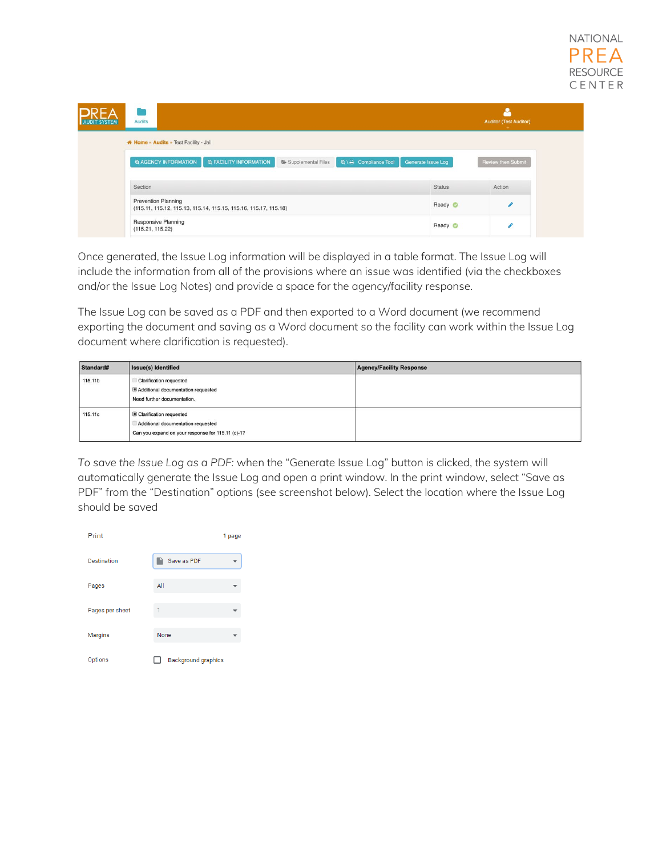| <b>Audits</b><br><b>AUDIT SYSTEM</b>                                                                        |                    | <b>Auditor (Test Auditor)</b> |
|-------------------------------------------------------------------------------------------------------------|--------------------|-------------------------------|
| * Home » Audits » Test Facility - Jail                                                                      |                    |                               |
| <b>Q AGENCY INFORMATION</b><br><b>Q FACILITY INFORMATION</b><br>Q \ B Compliance Tool<br>Supplemental Files | Generate Issue Log | <b>Review then Submit</b>     |
|                                                                                                             |                    |                               |
| Section                                                                                                     | <b>Status</b>      | Action                        |
| <b>Prevention Planning</b><br>(115.11, 115.12, 115.13, 115.14, 115.15, 115.16, 115.17, 115.18)              | Ready O            |                               |

Once generated, the Issue Log information will be displayed in a table format. The Issue Log will include the information from all of the provisions where an issue was identified (via the checkboxes and/or the Issue Log Notes) and provide a space for the agency/facility response.

The Issue Log can be saved as a PDF and then exported to a Word document (we recommend exporting the document and saving as a Word document so the facility can work within the Issue Log document where clarification is requested).

| Standard# | <b>Issue(s) Identified</b>                                                                                         | <b>Agency/Facility Response</b> |
|-----------|--------------------------------------------------------------------------------------------------------------------|---------------------------------|
| 115.11b   | <b>Clarification requested</b><br>Additional documentation requested<br>Need further documentation.                |                                 |
| 115,11c   | Clarification requested<br>Additional documentation requested<br>Can you expand on your response for 115.11 (c)-1? |                                 |

*To save the Issue Log as a PDF:* when the "Generate Issue Log" button is clicked, the system will automatically generate the Issue Log and open a print window. In the print window, select "Save as PDF" from the "Destination" options (see screenshot below). Select the location where the Issue Log should be saved

| Print           |                            | 1 page |
|-----------------|----------------------------|--------|
| Destination     | Save as PDF                |        |
| Pages           | All                        |        |
| Pages per sheet | 1                          |        |
| <b>Margins</b>  | None                       |        |
| Options         | <b>Background graphics</b> |        |